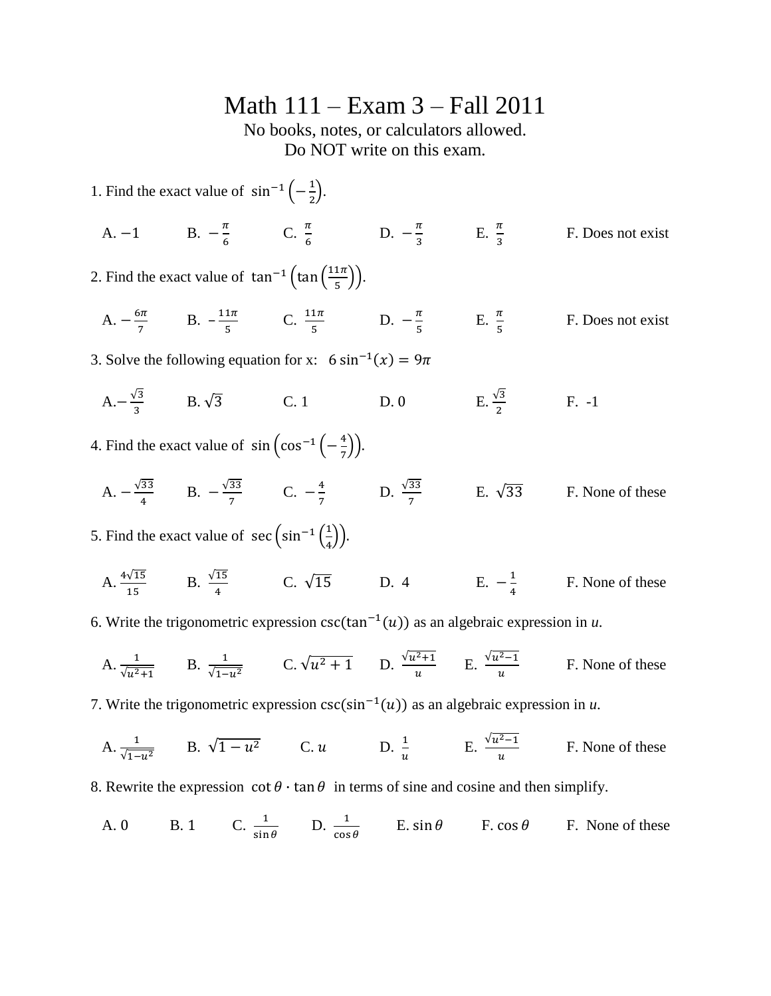## Math 111 – Exam 3 – Fall 2011

No books, notes, or calculators allowed. Do NOT write on this exam.

1. Find the exact value of  $\sin^{-1}(-\frac{1}{2})$  $\frac{1}{2}$ ). A. -1 B.  $-\frac{\pi}{6}$  $\frac{\pi}{6}$  C.  $\frac{\pi}{6}$  D.  $-\frac{\pi}{3}$  $\frac{\pi}{3}$  E.  $\frac{\pi}{3}$ F. Does not exist 2. Find the exact value of  $\tan^{-1}(\tan^{-1}$  $\frac{1}{5}$ )).  $A. -\frac{6}{7}$  $\frac{5\pi}{7}$  B.  $-\frac{1}{7}$  $\frac{1\pi}{5}$  C.  $\frac{11\pi}{5}$  D.  $-\frac{\pi}{5}$  $\frac{\pi}{5}$  E.  $\frac{\pi}{5}$ F. Does not exist 3. Solve the following equation for x:  $6 \sin^{-1}($  $A - \frac{\sqrt{2}}{2}$  $\frac{3}{3}$  B.  $\sqrt{3}$  C. 1 D. 0 E. D. 0 E.  $\frac{\sqrt{3}}{2}$ F. -1 4. Find the exact value of  $\sin(\cos^{-1}\left(-\frac{4}{7}\right))$  $\frac{4}{7}$  $A. - \frac{\sqrt{2}}{2}$  $\frac{33}{4}$  B.  $-\frac{\sqrt{}}{2}$  $rac{33}{7}$  C.  $-\frac{4}{7}$  $\frac{4}{7}$  D.  $\frac{\sqrt{33}}{7}$  E.  $\sqrt{33}$  F. None of these 5. Find the exact value of  $\sec \left(\sin^{-1}\left(\frac{1}{t}\right)\right)$  $\frac{1}{4}$ A.  $\frac{4\sqrt{15}}{15}$  B.  $\frac{\sqrt{15}}{4}$  C.  $\sqrt{15}$  D. 4 E.  $-\frac{1}{4}$ 4 F. None of these

6. Write the trigonometric expression  $csc(tan^{-1}(u))$  as an algebraic expression in *u*.

A. 
$$
\frac{1}{\sqrt{u^2+1}}
$$
 B.  $\frac{1}{\sqrt{1-u^2}}$  C.  $\sqrt{u^2+1}$  D.  $\frac{\sqrt{u^2+1}}{u}$  E.  $\frac{\sqrt{u^2-1}}{u}$  F. None of these

7. Write the trigonometric expression  $csc(sin^{-1}(u))$  as an algebraic expression in *u*.

A. 
$$
\frac{1}{\sqrt{1-u^2}}
$$
 B.  $\sqrt{1-u^2}$  C.  $u$  D.  $\frac{1}{u}$  E.  $\frac{\sqrt{u^2-1}}{u}$  F. None of these

8. Rewrite the expression  $\cot \theta \cdot \tan \theta$  in terms of sine and cosine and then simplify.

A. 0 B. 1 C. 
$$
\frac{1}{\sin \theta}
$$
 D.  $\frac{1}{\cos \theta}$  E.  $\sin \theta$  F.  $\cos \theta$  F. None of these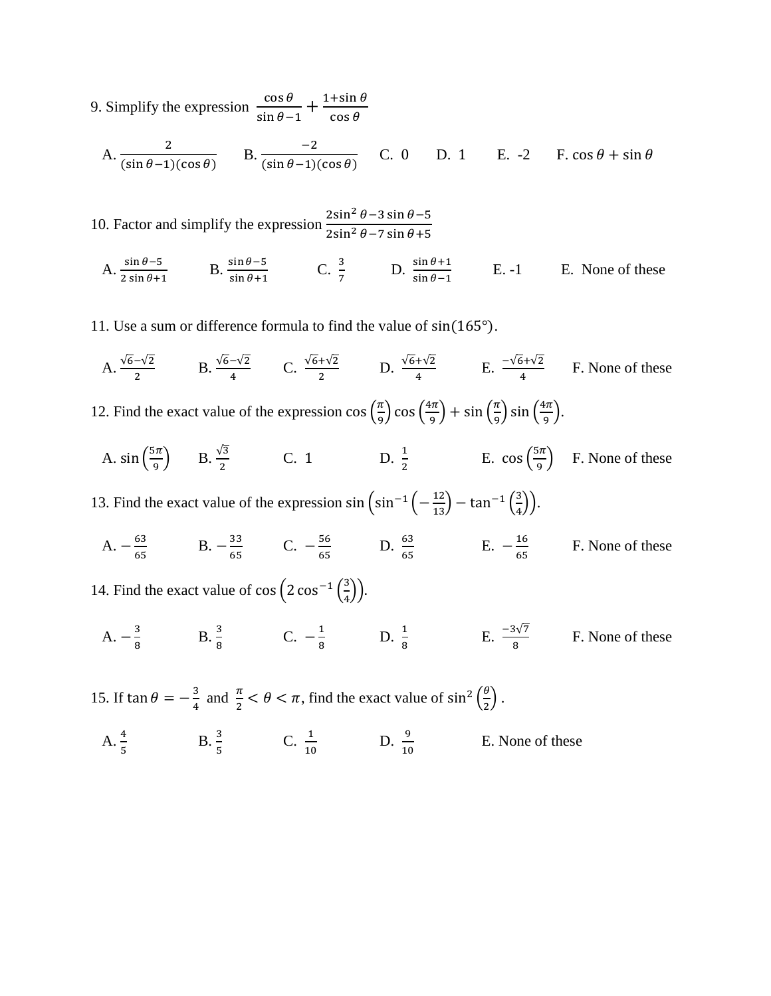9. Simplify the expression  $\frac{c}{\sqrt{2}}$  $\frac{\cos\theta}{\sin\theta-1} + \frac{1}{\cos\theta}$  $\frac{15 \text{ m/s}}{\cos \theta}$ 

A. 
$$
\frac{2}{(\sin \theta - 1)(\cos \theta)}
$$
 B.  $\frac{-2}{(\sin \theta - 1)(\cos \theta)}$  C. 0 D. 1 E. -2 F.  $\cos \theta + \sin \theta$ 

10. Factor and simplify the expression  $\frac{2}{3}$  $\overline{\mathbf{c}}$ 

A.  $\frac{\sin \theta - 3}{2 \sin \theta + 1}$  B.  $\frac{\sin \theta - 3}{\sin \theta + 1}$  C.  $\frac{3}{7}$  D.  $\frac{5}{s}$ E. None of these

11. Use a sum or difference formula to find the value of  $sin(165^\circ)$ .

A.  $\frac{\sqrt{6-\sqrt{2}}}{2}$  B.  $\frac{\sqrt{6-\sqrt{2}}}{4}$  C.  $\frac{\sqrt{6+\sqrt{2}}}{2}$  D.  $\frac{\sqrt{6+\sqrt{2}}}{4}$  E.  $\frac{-\sqrt{6+\sqrt{2}}}{4}$  F. None of these

12. Find the exact value of the expression  $\cos\left(\frac{\pi}{6}\right)$  $\left(\frac{\pi}{9}\right)$  cos  $\left(\frac{4}{9}\right)$  $\left(\frac{\pi}{9}\right) + \sin\left(\frac{\pi}{9}\right)$  $\left(\frac{\pi}{9}\right)$  sin  $\left(\frac{4}{9}\right)$  $\frac{1}{9}$ ).

A. sin $\left(\frac{5}{7}\right)$  $\frac{\sin \pi}{9}$  B.  $\frac{\sqrt{3}}{2}$  C. 1 D.  $\frac{1}{2}$  E.  $\cos \left(\frac{5}{9}\right)$  $\left(\frac{m}{9}\right)$  F. None of these

13. Find the exact value of the expression  $\sin \left(\sin^{-1}\left(-\frac{1}{\epsilon}\right)\right)$  $\frac{12}{13}$  – tan<sup>-1</sup>  $\left(\frac{3}{4}\right)$  $\frac{3}{4})$ ).

 $A. - \frac{6}{5}$  $\frac{63}{65}$  B.  $-\frac{3}{6}$  $rac{33}{65}$  C.  $-\frac{5}{6}$  $\frac{56}{65}$  D.  $\frac{63}{65}$  E.  $-\frac{1}{6}$  $\frac{16}{65}$  F. None of these

14. Find the exact value of  $\cos\left(2\cos^{-1}\left(\frac{3}{4}\right)\right)$  $\frac{5}{4}$ 

 $A. - \frac{3}{6}$  $\frac{3}{8}$  B.  $\frac{3}{8}$  C.  $-\frac{1}{8}$  $\frac{1}{8}$  D.  $\frac{1}{8}$  E.  $\frac{-3\sqrt{7}}{8}$  F. None of these

15. If  $\tan \theta = -\frac{3}{4}$  $\frac{\pi}{4}$  and  $\frac{\pi}{2} < \theta < \pi$ , find the exact value of sin<sup>2</sup>  $\left(\frac{\theta}{2}\right)$  $\frac{\sigma}{2}$ . A.  $\frac{4}{5}$  B.  $\frac{5}{5}$  C.  $\frac{1}{10}$  D.  $\frac{3}{1}$ E. None of these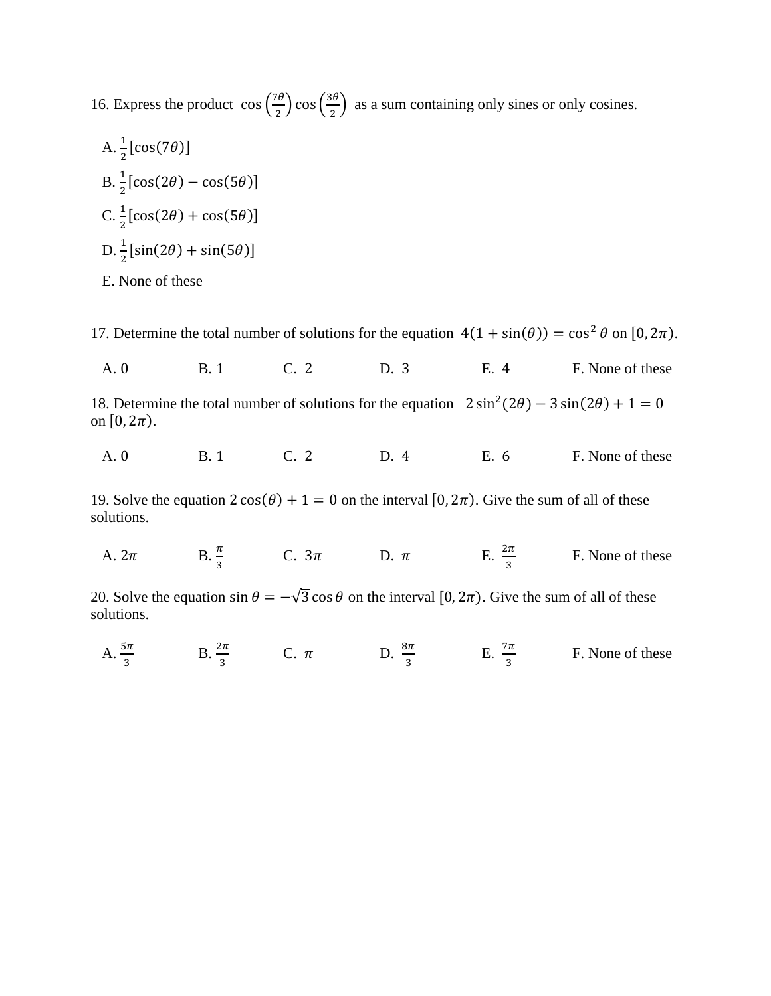16. Express the product  $\cos\left(\frac{7}{2}\right)$  $\left(\frac{7\theta}{2}\right)\cos\left(\frac{3\theta}{2}\right)$  $\frac{36}{2}$  as a sum containing only sines or only cosines.

A. 
$$
\frac{1}{2} [\cos(7\theta)]
$$
  
\nB.  $\frac{1}{2} [\cos(2\theta) - \cos(5\theta)]$   
\nC.  $\frac{1}{2} [\cos(2\theta) + \cos(5\theta)]$   
\nD.  $\frac{1}{2} [\sin(2\theta) + \sin(5\theta)]$   
\nE. None of these

solutions.

17. Determine the total number of solutions for the equation  $4(1 + \sin(\theta)) = \cos^2 \theta$  on  $[0, 2\pi)$ . A. 0 B. 1 C. 2 D. 3 E. 4 F. None of these 18. Determine the total number of solutions for the equation  $2 \sin^2(\theta)$ on  $[0, 2\pi)$ . A. 0 B. 1 C. 2 D. 4 E. 6 F. None of these 19. Solve the equation  $2\cos(\theta) + 1 = 0$  on the interval  $[0, 2\pi)$ . Give the sum of all of these solutions. A.  $2\pi$  $\frac{\pi}{3}$  C.  $3\pi$  D.  $\pi$  E.  $\frac{2\pi}{3}$  F. None of these 20. Solve the equation  $\sin \theta = -\sqrt{3} \cos \theta$  on the interval [0, 2 $\pi$ ]. Give the sum of all of these

A.  $\frac{3n}{3}$  B.  $\frac{2n}{3}$  C.  $\pi$  D.  $\frac{6n}{3}$  E.  $\frac{7}{3}$ F. None of these